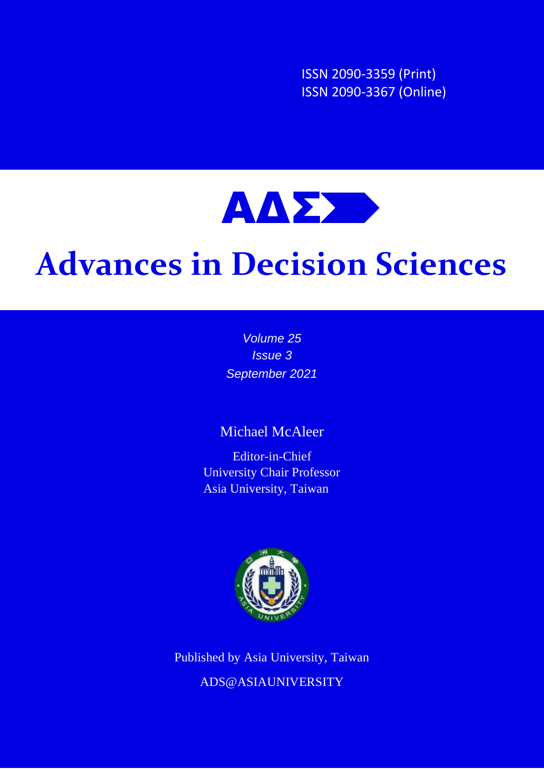ISSN 2090-3359 (Print) ISSN 2090-3367 (Online)



## **Advances in Decision Sciences**

*Volume 25 Issue 3 September 2021*

## Michael McAleer

Editor-in-Chief University Chair Professor Asia University, Taiwan



Published by Asia University, Taiwan ADS@ASIAUNIVERSITY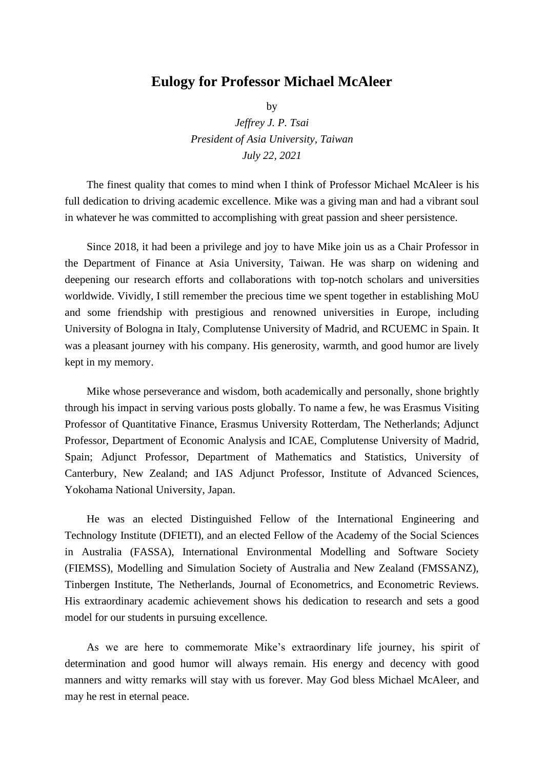## **Eulogy for Professor Michael McAleer**

by

*Jeffrey J. P. Tsai President of Asia University, Taiwan July 22, 2021*

The finest quality that comes to mind when I think of Professor Michael McAleer is his full dedication to driving academic excellence. Mike was a giving man and had a vibrant soul in whatever he was committed to accomplishing with great passion and sheer persistence.

Since 2018, it had been a privilege and joy to have Mike join us as a Chair Professor in the Department of Finance at Asia University, Taiwan. He was sharp on widening and deepening our research efforts and collaborations with top-notch scholars and universities worldwide. Vividly, I still remember the precious time we spent together in establishing MoU and some friendship with prestigious and renowned universities in Europe, including University of Bologna in Italy, Complutense University of Madrid, and RCUEMC in Spain. It was a pleasant journey with his company. His generosity, warmth, and good humor are lively kept in my memory.

Mike whose perseverance and wisdom, both academically and personally, shone brightly through his impact in serving various posts globally. To name a few, he was Erasmus Visiting Professor of Quantitative Finance, Erasmus University Rotterdam, The Netherlands; Adjunct Professor, Department of Economic Analysis and ICAE, Complutense University of Madrid, Spain; Adjunct Professor, Department of Mathematics and Statistics, University of Canterbury, New Zealand; and IAS Adjunct Professor, Institute of Advanced Sciences, Yokohama National University, Japan.

He was an elected Distinguished Fellow of the International Engineering and Technology Institute (DFIETI), and an elected Fellow of the Academy of the Social Sciences in Australia (FASSA), International Environmental Modelling and Software Society (FIEMSS), Modelling and Simulation Society of Australia and New Zealand (FMSSANZ), Tinbergen Institute, The Netherlands, Journal of Econometrics, and Econometric Reviews. His extraordinary academic achievement shows his dedication to research and sets a good model for our students in pursuing excellence.

As we are here to commemorate Mike's extraordinary life journey, his spirit of determination and good humor will always remain. His energy and decency with good manners and witty remarks will stay with us forever. May God bless Michael McAleer, and may he rest in eternal peace.